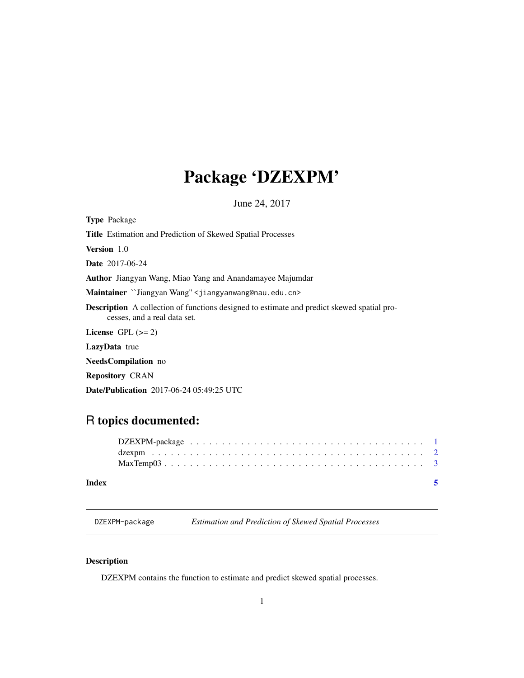## <span id="page-0-0"></span>Package 'DZEXPM'

June 24, 2017

Type Package

Title Estimation and Prediction of Skewed Spatial Processes

Version 1.0

Date 2017-06-24

Author Jiangyan Wang, Miao Yang and Anandamayee Majumdar

Maintainer ``Jiangyan Wang" <jiangyanwang@nau.edu.cn>

Description A collection of functions designed to estimate and predict skewed spatial processes, and a real data set.

License GPL  $(>= 2)$ 

LazyData true

NeedsCompilation no

Repository CRAN

Date/Publication 2017-06-24 05:49:25 UTC

### R topics documented:

#### **Index** [5](#page-4-0). The second state of the second state of the second state of the second state of the second state of the second state of the second state of the second state of the second state of the second state of the second

DZEXPM-package *Estimation and Prediction of Skewed Spatial Processes*

#### Description

DZEXPM contains the function to estimate and predict skewed spatial processes.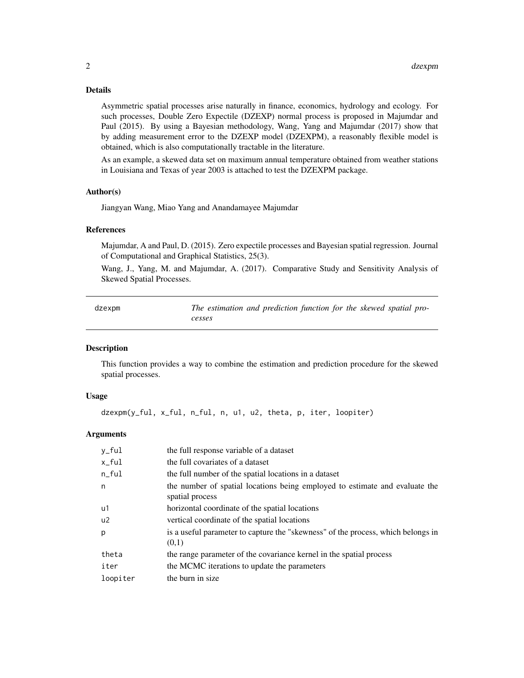#### <span id="page-1-0"></span>Details

Asymmetric spatial processes arise naturally in finance, economics, hydrology and ecology. For such processes, Double Zero Expectile (DZEXP) normal process is proposed in Majumdar and Paul (2015). By using a Bayesian methodology, Wang, Yang and Majumdar (2017) show that by adding measurement error to the DZEXP model (DZEXPM), a reasonably flexible model is obtained, which is also computationally tractable in the literature.

As an example, a skewed data set on maximum annual temperature obtained from weather stations in Louisiana and Texas of year 2003 is attached to test the DZEXPM package.

#### Author(s)

Jiangyan Wang, Miao Yang and Anandamayee Majumdar

#### References

Majumdar, A and Paul, D. (2015). Zero expectile processes and Bayesian spatial regression. Journal of Computational and Graphical Statistics, 25(3).

Wang, J., Yang, M. and Majumdar, A. (2017). Comparative Study and Sensitivity Analysis of Skewed Spatial Processes.

| dzexpm | The estimation and prediction function for the skewed spatial pro- |
|--------|--------------------------------------------------------------------|
|        | cesses                                                             |

#### **Description**

This function provides a way to combine the estimation and prediction procedure for the skewed spatial processes.

#### Usage

dzexpm(y\_ful, x\_ful, n\_ful, n, u1, u2, theta, p, iter, loopiter)

#### Arguments

| y_ful          | the full response variable of a dataset                                                        |
|----------------|------------------------------------------------------------------------------------------------|
| x_ful          | the full covariates of a dataset                                                               |
| $n$ _ $fu1$    | the full number of the spatial locations in a dataset                                          |
| n              | the number of spatial locations being employed to estimate and evaluate the<br>spatial process |
| u1             | horizontal coordinate of the spatial locations                                                 |
| u <sub>2</sub> | vertical coordinate of the spatial locations                                                   |
| p              | is a useful parameter to capture the "skewness" of the process, which belongs in<br>(0,1)      |
| theta          | the range parameter of the covariance kernel in the spatial process                            |
| iter           | the MCMC iterations to update the parameters                                                   |
| loopiter       | the burn in size                                                                               |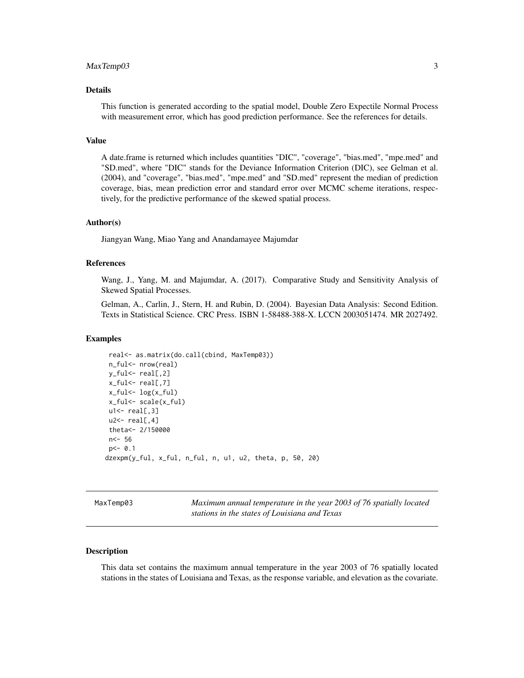#### <span id="page-2-0"></span>MaxTemp03 3

#### Details

This function is generated according to the spatial model, Double Zero Expectile Normal Process with measurement error, which has good prediction performance. See the references for details.

#### Value

A date.frame is returned which includes quantities "DIC", "coverage", "bias.med", "mpe.med" and "SD.med", where "DIC" stands for the Deviance Information Criterion (DIC), see Gelman et al. (2004), and "coverage", "bias.med", "mpe.med" and "SD.med" represent the median of prediction coverage, bias, mean prediction error and standard error over MCMC scheme iterations, respectively, for the predictive performance of the skewed spatial process.

#### Author(s)

Jiangyan Wang, Miao Yang and Anandamayee Majumdar

#### References

Wang, J., Yang, M. and Majumdar, A. (2017). Comparative Study and Sensitivity Analysis of Skewed Spatial Processes.

Gelman, A., Carlin, J., Stern, H. and Rubin, D. (2004). Bayesian Data Analysis: Second Edition. Texts in Statistical Science. CRC Press. ISBN 1-58488-388-X. LCCN 2003051474. MR 2027492.

#### Examples

```
real<- as.matrix(do.call(cbind, MaxTemp03))
n_ful<- nrow(real)
y_ful<- real[,2]
x_ful<- real[,7]
x_ful <- log(x_ful)x_ful<- scale(x_ful)
u1 < - real[, 3]
u2 < - real[,4]
theta<- 2/150000
n<- 56
p < -0.1dzexpm(y_ful, x_ful, n_ful, n, u1, u2, theta, p, 50, 20)
```
MaxTemp03 *Maximum annual temperature in the year 2003 of 76 spatially located stations in the states of Louisiana and Texas*

#### Description

This data set contains the maximum annual temperature in the year 2003 of 76 spatially located stations in the states of Louisiana and Texas, as the response variable, and elevation as the covariate.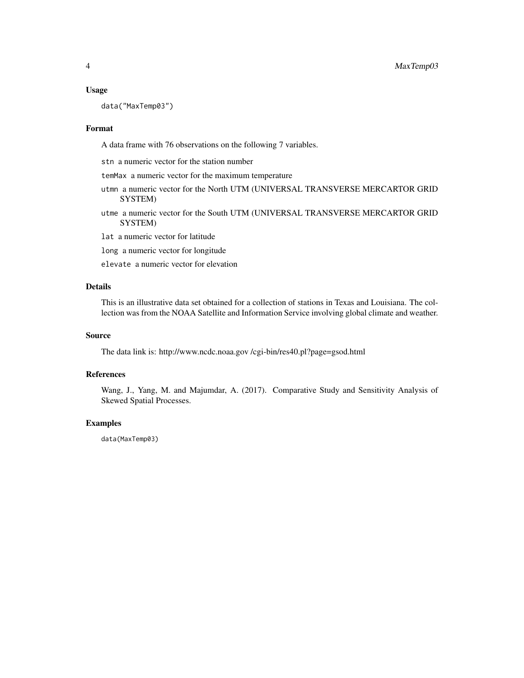#### Usage

data("MaxTemp03")

#### Format

A data frame with 76 observations on the following 7 variables.

stn a numeric vector for the station number

temMax a numeric vector for the maximum temperature

- utmn a numeric vector for the North UTM (UNIVERSAL TRANSVERSE MERCARTOR GRID SYSTEM)
- utme a numeric vector for the South UTM (UNIVERSAL TRANSVERSE MERCARTOR GRID SYSTEM)

lat a numeric vector for latitude

- long a numeric vector for longitude
- elevate a numeric vector for elevation

#### Details

This is an illustrative data set obtained for a collection of stations in Texas and Louisiana. The collection was from the NOAA Satellite and Information Service involving global climate and weather.

#### Source

The data link is: http://www.ncdc.noaa.gov /cgi-bin/res40.pl?page=gsod.html

#### References

Wang, J., Yang, M. and Majumdar, A. (2017). Comparative Study and Sensitivity Analysis of Skewed Spatial Processes.

#### Examples

data(MaxTemp03)